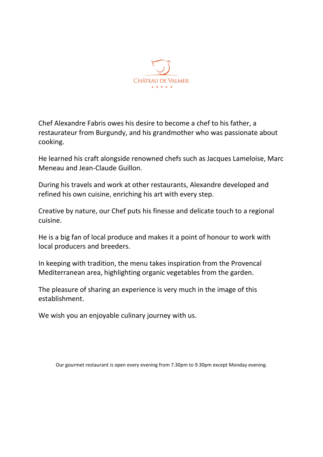

Chef Alexandre Fabris owes his desire to become a chef to his father, a restaurateur from Burgundy, and his grandmother who was passionate about cooking.

He learned his craft alongside renowned chefs such as Jacques Lameloise, Marc Meneau and Jean-Claude Guillon.

During his travels and work at other restaurants, Alexandre developed and refined his own cuisine, enriching his art with every step.

Creative by nature, our Chef puts his finesse and delicate touch to a regional cuisine.

He is a big fan of local produce and makes it a point of honour to work with local producers and breeders.

In keeping with tradition, the menu takes inspiration from the Provencal Mediterranean area, highlighting organic vegetables from the garden.

The pleasure of sharing an experience is very much in the image of this establishment.

We wish you an enjoyable culinary journey with us.

Our gourmet restaurant is open every evening from 7.30pm to 9.30pm except Monday evening.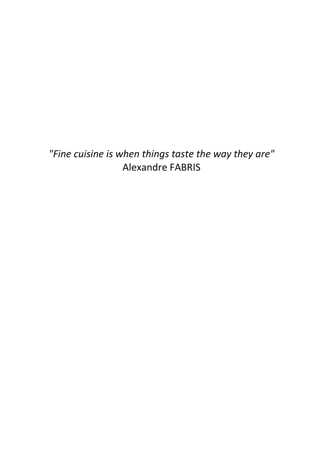*"Fine cuisine is when things taste the way they are"* Alexandre FABRIS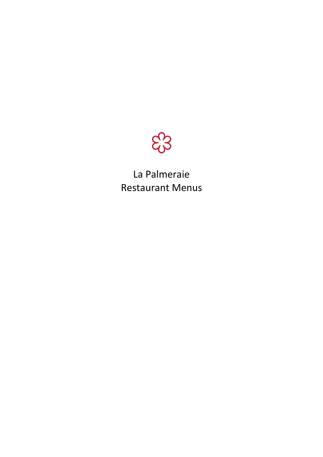

La Palmeraie Restaurant Menus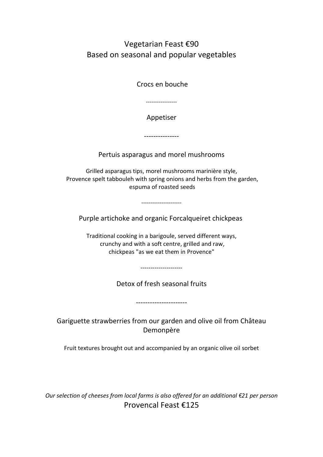Vegetarian Feast €90 Based on seasonal and popular vegetables

Crocs en bouche

-----------------

Appetiser

---------------

Pertuis asparagus and morel mushrooms

Grilled asparagus tips, morel mushrooms marinière style, Provence spelt tabbouleh with spring onions and herbs from the garden, espuma of roasted seeds

----------------------

Purple artichoke and organic Forcalqueiret chickpeas

Traditional cooking in a barigoule, served different ways, crunchy and with a soft centre, grilled and raw, chickpeas "as we eat them in Provence"

---------------------

Detox of fresh seasonal fruits

----------------------

Gariguette strawberries from our garden and olive oil from Château Demonpère

Fruit textures brought out and accompanied by an organic olive oil sorbet

*Our selection of cheeses from local farms is also offered for an additional €21 per person* Provencal Feast €125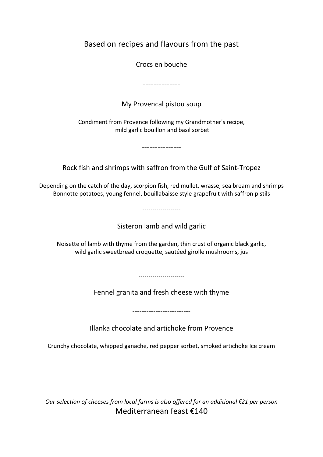Based on recipes and flavours from the past

Crocs en bouche

--------------

My Provencal pistou soup

Condiment from Provence following my Grandmother's recipe, mild garlic bouillon and basil sorbet

---------------

Rock fish and shrimps with saffron from the Gulf of Saint-Tropez

Depending on the catch of the day, scorpion fish, red mullet, wrasse, sea bream and shrimps Bonnotte potatoes, young fennel, bouillabaisse style grapefruit with saffron pistils

-------------------

Sisteron lamb and wild garlic

Noisette of lamb with thyme from the garden, thin crust of organic black garlic, wild garlic sweetbread croquette, sautéed girolle mushrooms, jus

-----------------------

Fennel granita and fresh cheese with thyme

-------------------------

Illanka chocolate and artichoke from Provence

Crunchy chocolate, whipped ganache, red pepper sorbet, smoked artichoke Ice cream

*Our selection of cheeses from local farms is also offered for an additional €21 per person* Mediterranean feast €140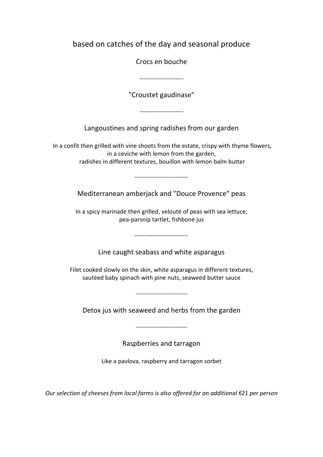based on catches of the day and seasonal produce

Crocs en bouche

----------------------

"Croustet gaudinase"

----------------------

Langoustines and spring radishes from our garden

In a confit then grilled with vine shoots from the estate, crispy with thyme flowers, in a ceviche with lemon from the garden, radishes in different textures, bouillon with lemon balm butter

---------------------------

Mediterranean amberjack and "Douce Provence" peas

In a spicy marinade then grilled, velouté of peas with sea lettuce, pea-parsnip tartlet, fishbone jus

---------------------------

Line caught seabass and white asparagus

Filet cooked slowly on the skin, white asparagus in different textures, sautéed baby spinach with pine nuts, seaweed butter sauce

--------------------------

Detox jus with seaweed and herbs from the garden

--------------------------

Raspberries and tarragon

Like a pavlova, raspberry and tarragon sorbet

*Our selection of cheeses from local farms is also offered for an additional €21 per person*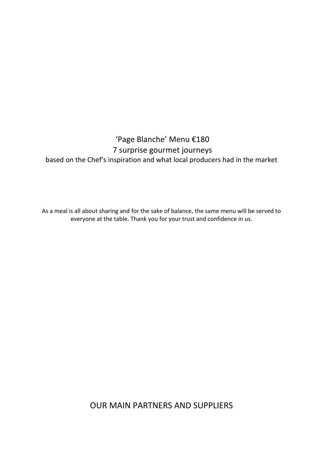## 'Page Blanche' Menu €180 7 surprise gourmet journeys based on the Chef's inspiration and what local producers had in the market

As a meal is all about sharing and for the sake of balance, the same menu will be served to everyone at the table. Thank you for your trust and confidence in us.

OUR MAIN PARTNERS AND SUPPLIERS